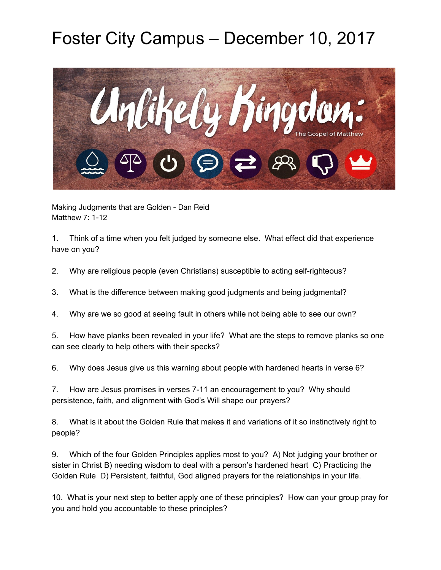## Foster City Campus – December 10, 2017



Making Judgments that are Golden - Dan Reid Matthew 7: 1-12

1. Think of a time when you felt judged by someone else. What effect did that experience have on you?

2. Why are religious people (even Christians) susceptible to acting self-righteous?

- 3. What is the difference between making good judgments and being judgmental?
- 4. Why are we so good at seeing fault in others while not being able to see our own?

5. How have planks been revealed in your life? What are the steps to remove planks so one can see clearly to help others with their specks?

6. Why does Jesus give us this warning about people with hardened hearts in verse 6?

7. How are Jesus promises in verses 7-11 an encouragement to you? Why should persistence, faith, and alignment with God's Will shape our prayers?

8. What is it about the Golden Rule that makes it and variations of it so instinctively right to people?

9. Which of the four Golden Principles applies most to you? A) Not judging your brother or sister in Christ B) needing wisdom to deal with a person's hardened heart C) Practicing the Golden Rule D) Persistent, faithful, God aligned prayers for the relationships in your life.

10. What is your next step to better apply one of these principles? How can your group pray for you and hold you accountable to these principles?